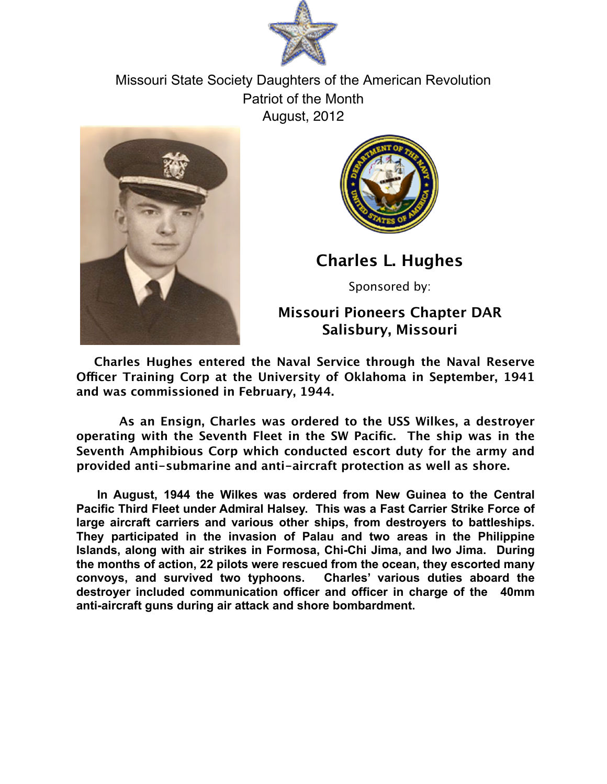

Missouri State Society Daughters of the American Revolution Patriot of the Month August, 2012





**Charles L. Hughes**

Sponsored by:

**Missouri Pioneers Chapter DAR Salisbury, Missouri**

**Charles Hughes entered the Naval Service through the Naval Reserve Ofcer Training Corp at the University of Oklahoma in September, 1941 and was commissioned in February, 1944.**

 **As an Ensign, Charles was ordered to the USS Wilkes, a destroyer operating with the Seventh Fleet in the SW Pacific. The ship was in the Seventh Amphibious Corp which conducted escort duty for the army and provided anti-submarine and anti-aircraft protection as well as shore.**

**In August, 1944 the Wilkes was ordered from New Guinea to the Central Pacific Third Fleet under Admiral Halsey. This was a Fast Carrier Strike Force of large aircraft carriers and various other ships, from destroyers to battleships. They participated in the invasion of Palau and two areas in the Philippine Islands, along with air strikes in Formosa, Chi-Chi Jima, and Iwo Jima. During the months of action, 22 pilots were rescued from the ocean, they escorted many convoys, and survived two typhoons. Charles' various duties aboard the destroyer included communication officer and officer in charge of the 40mm anti-aircraft guns during air attack and shore bombardment.**